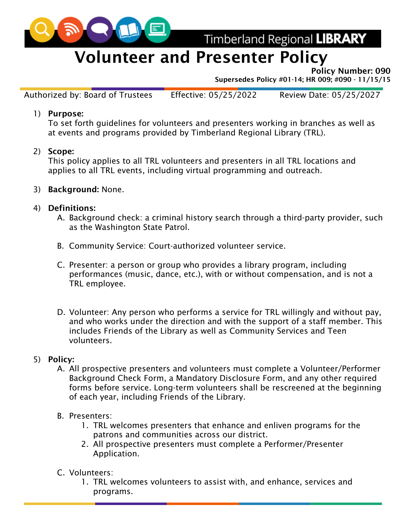

Timberland Regional LIBRARY

## Volunteer and Presenter Policy

Policy Number: 090

Supersedes Policy #01-14; HR 009; #090 - 11/15/15

Authorized by: Board of Trustees Effective: 05/25/2022 Review Date: 05/25/2027

1) Purpose:

To set forth guidelines for volunteers and presenters working in branches as well as at events and programs provided by Timberland Regional Library (TRL).

2) Scope:

This policy applies to all TRL volunteers and presenters in all TRL locations and applies to all TRL events, including virtual programming and outreach.

- 3) Background: None.
- 4) Definitions:
	- A. Background check: a criminal history search through a third-party provider, such as the Washington State Patrol.
	- B. Community Service: Court-authorized volunteer service.
	- C. Presenter: a person or group who provides a library program, including performances (music, dance, etc.), with or without compensation, and is not a TRL employee.
	- D. Volunteer: Any person who performs a service for TRL willingly and without pay, and who works under the direction and with the support of a staff member. This includes Friends of the Library as well as Community Services and Teen volunteers.
- 5) Policy:
	- A. All prospective presenters and volunteers must complete a Volunteer/Performer Background Check Form, a Mandatory Disclosure Form, and any other required forms before service. Long-term volunteers shall be rescreened at the beginning of each year, including Friends of the Library.
	- B. Presenters:
		- 1. TRL welcomes presenters that enhance and enliven programs for the patrons and communities across our district.
		- 2. All prospective presenters must complete a Performer/Presenter Application.
	- C. Volunteers:
		- 1. TRL welcomes volunteers to assist with, and enhance, services and programs.